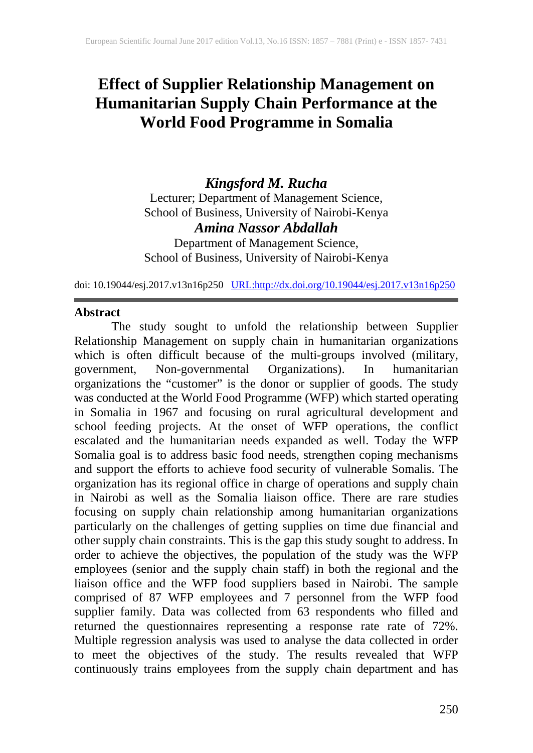# **Effect of Supplier Relationship Management on Humanitarian Supply Chain Performance at the World Food Programme in Somalia**

## *Kingsford M. Rucha*

Lecturer; Department of Management Science, School of Business, University of Nairobi-Kenya *Amina Nassor Abdallah*

Department of Management Science, School of Business, University of Nairobi-Kenya

doi: 10.19044/esj.2017.v13n16p250 [URL:http://dx.doi.org/10.19044/esj.2017.v13n16p250](http://dx.doi.org/10.19044/esj.2017.v13n16p250)

### **Abstract**

The study sought to unfold the relationship between Supplier Relationship Management on supply chain in humanitarian organizations which is often difficult because of the multi-groups involved (military, government, Non-governmental Organizations). In humanitarian organizations the "customer" is the donor or supplier of goods. The study was conducted at the World Food Programme (WFP) which started operating in Somalia in 1967 and focusing on rural agricultural development and school feeding projects. At the onset of WFP operations, the conflict escalated and the humanitarian needs expanded as well. Today the WFP Somalia goal is to address basic food needs, strengthen coping mechanisms and support the efforts to achieve food security of vulnerable Somalis. The organization has its regional office in charge of operations and supply chain in Nairobi as well as the Somalia liaison office. There are rare studies focusing on supply chain relationship among humanitarian organizations particularly on the challenges of getting supplies on time due financial and other supply chain constraints. This is the gap this study sought to address. In order to achieve the objectives, the population of the study was the WFP employees (senior and the supply chain staff) in both the regional and the liaison office and the WFP food suppliers based in Nairobi. The sample comprised of 87 WFP employees and 7 personnel from the WFP food supplier family. Data was collected from 63 respondents who filled and returned the questionnaires representing a response rate rate of 72%. Multiple regression analysis was used to analyse the data collected in order to meet the objectives of the study. The results revealed that WFP continuously trains employees from the supply chain department and has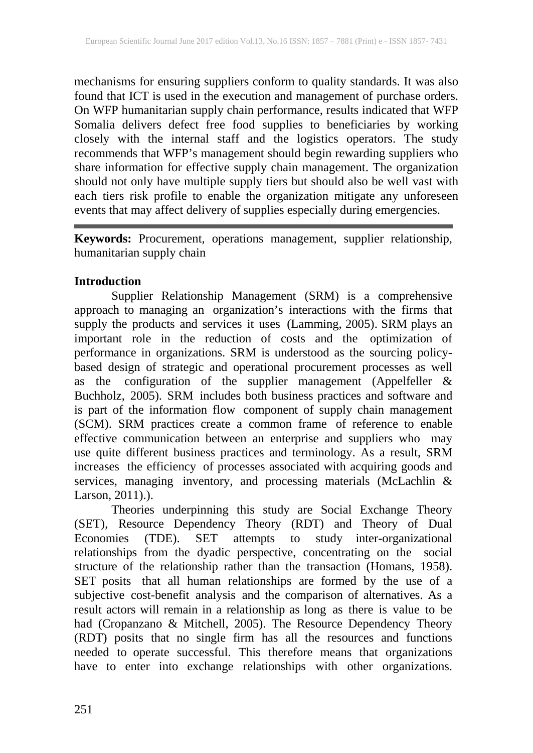mechanisms for ensuring suppliers conform to quality standards. It was also found that ICT is used in the execution and management of purchase orders. On WFP humanitarian supply chain performance, results indicated that WFP Somalia delivers defect free food supplies to beneficiaries by working closely with the internal staff and the logistics operators. The study recommends that WFP's management should begin rewarding suppliers who share information for effective supply chain management. The organization should not only have multiple supply tiers but should also be well vast with each tiers risk profile to enable the organization mitigate any unforeseen events that may affect delivery of supplies especially during emergencies.

**Keywords:** Procurement, operations management, supplier relationship, humanitarian supply chain

### **Introduction**

Supplier Relationship Management (SRM) is a comprehensive approach to managing an organization's interactions with the firms that supply the products and services it uses (Lamming, 2005). SRM plays an important role in the reduction of costs and the optimization of performance in organizations. SRM is understood as the sourcing policybased design of strategic and operational procurement processes as well as the configuration of the supplier management (Appelfeller & Buchholz, 2005). SRM includes both business practices and software and is part of the information flow component of supply chain management (SCM). SRM practices create a common frame of reference to enable effective communication between an enterprise and suppliers who may use quite different business practices and terminology. As a result, SRM increases the efficiency of processes associated with acquiring goods and services, managing inventory, and processing materials (McLachlin & Larson, 2011).).

Theories underpinning this study are Social Exchange Theory (SET), Resource Dependency Theory (RDT) and Theory of Dual Economies (TDE). SET attempts to study inter-organizational relationships from the dyadic perspective, concentrating on the social structure of the relationship rather than the transaction (Homans, 1958). SET posits that all human relationships are formed by the use of a subjective cost-benefit analysis and the comparison of alternatives. As a result actors will remain in a relationship as long as there is value to be had (Cropanzano & Mitchell, 2005). The Resource Dependency Theory (RDT) posits that no single firm has all the resources and functions needed to operate successful. This therefore means that organizations have to enter into exchange relationships with other organizations.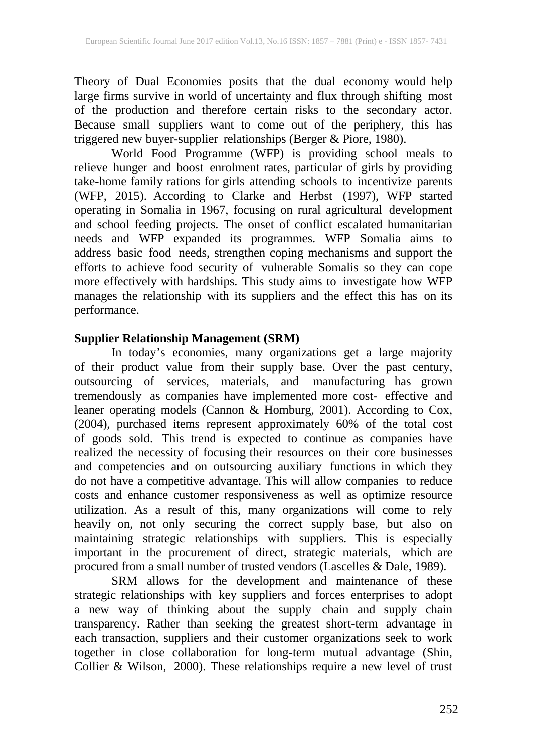Theory of Dual Economies posits that the dual economy would help large firms survive in world of uncertainty and flux through shifting most of the production and therefore certain risks to the secondary actor. Because small suppliers want to come out of the periphery, this has triggered new buyer-supplier relationships (Berger & Piore, 1980).

World Food Programme (WFP) is providing school meals to relieve hunger and boost enrolment rates, particular of girls by providing take-home family rations for girls attending schools to incentivize parents (WFP, 2015). According to Clarke and Herbst (1997), WFP started operating in Somalia in 1967, focusing on rural agricultural development and school feeding projects. The onset of conflict escalated humanitarian needs and WFP expanded its programmes. WFP Somalia aims to address basic food needs, strengthen coping mechanisms and support the efforts to achieve food security of vulnerable Somalis so they can cope more effectively with hardships. This study aims to investigate how WFP manages the relationship with its suppliers and the effect this has on its performance.

### **Supplier Relationship Management (SRM)**

In today's economies, many organizations get a large majority of their product value from their supply base. Over the past century, outsourcing of services, materials, and manufacturing has grown tremendously as companies have implemented more cost- effective and leaner operating models (Cannon & Homburg, 2001). According to Cox, (2004), purchased items represent approximately 60% of the total cost of goods sold. This trend is expected to continue as companies have realized the necessity of focusing their resources on their core businesses and competencies and on outsourcing auxiliary functions in which they do not have a competitive advantage. This will allow companies to reduce costs and enhance customer responsiveness as well as optimize resource utilization. As a result of this, many organizations will come to rely heavily on, not only securing the correct supply base, but also on maintaining strategic relationships with suppliers. This is especially important in the procurement of direct, strategic materials, which are procured from a small number of trusted vendors (Lascelles & Dale, 1989).

SRM allows for the development and maintenance of these strategic relationships with key suppliers and forces enterprises to adopt a new way of thinking about the supply chain and supply chain transparency. Rather than seeking the greatest short-term advantage in each transaction, suppliers and their customer organizations seek to work together in close collaboration for long-term mutual advantage (Shin, Collier & Wilson, 2000). These relationships require a new level of trust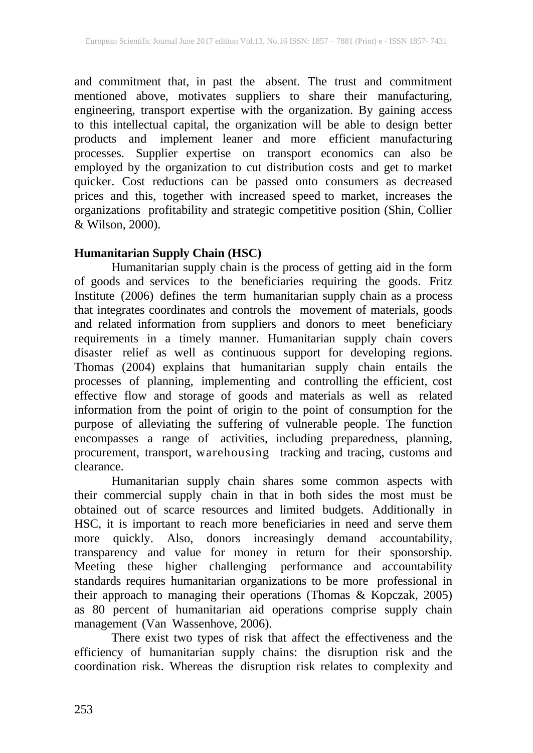and commitment that, in past the absent. The trust and commitment mentioned above, motivates suppliers to share their manufacturing, engineering, transport expertise with the organization. By gaining access to this intellectual capital, the organization will be able to design better products and implement leaner and more efficient manufacturing processes. Supplier expertise on transport economics can also be employed by the organization to cut distribution costs and get to market quicker. Cost reductions can be passed onto consumers as decreased prices and this, together with increased speed to market, increases the organizations profitability and strategic competitive position (Shin, Collier & Wilson, 2000).

### **Humanitarian Supply Chain (HSC)**

Humanitarian supply chain is the process of getting aid in the form of goods and services to the beneficiaries requiring the goods. Fritz Institute (2006) defines the term humanitarian supply chain as a process that integrates coordinates and controls the movement of materials, goods and related information from suppliers and donors to meet beneficiary requirements in a timely manner. Humanitarian supply chain covers disaster relief as well as continuous support for developing regions. Thomas (2004) explains that humanitarian supply chain entails the processes of planning, implementing and controlling the efficient, cost effective flow and storage of goods and materials as well as related information from the point of origin to the point of consumption for the purpose of alleviating the suffering of vulnerable people. The function encompasses a range of activities, including preparedness, planning, procurement, transport, warehousing tracking and tracing, customs and clearance.

Humanitarian supply chain shares some common aspects with their commercial supply chain in that in both sides the most must be obtained out of scarce resources and limited budgets. Additionally in HSC, it is important to reach more beneficiaries in need and serve them more quickly. Also, donors increasingly demand accountability, transparency and value for money in return for their sponsorship. Meeting these higher challenging performance and accountability standards requires humanitarian organizations to be more professional in their approach to managing their operations (Thomas & Kopczak, 2005) as 80 percent of humanitarian aid operations comprise supply chain management (Van Wassenhove, 2006).

There exist two types of risk that affect the effectiveness and the efficiency of humanitarian supply chains: the disruption risk and the coordination risk. Whereas the disruption risk relates to complexity and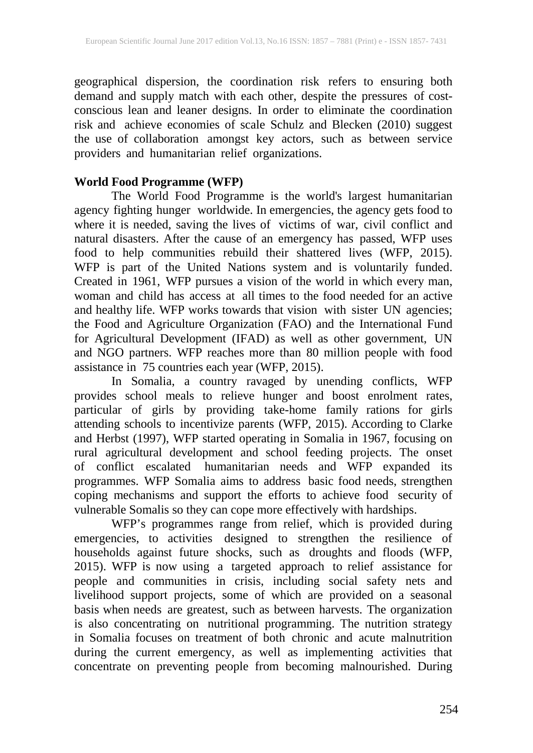geographical dispersion, the coordination risk refers to ensuring both demand and supply match with each other, despite the pressures of costconscious lean and leaner designs. In order to eliminate the coordination risk and achieve economies of scale Schulz and Blecken (2010) suggest the use of collaboration amongst key actors, such as between service providers and humanitarian relief organizations.

### **World Food Programme (WFP)**

The World Food Programme is the world's largest humanitarian agency fighting hunger worldwide. In [emergencies,](http://www.wfp.org/emergencies) the agency gets food to where it is needed, saving the lives of victims of war, civil conflict and natural disasters. After the cause of an [emergency](http://www.wfp.org/preventing-hunger) has [passed,](http://www.wfp.org/preventing-hunger) WFP uses food to help communities rebuild their shattered lives (WFP, 2015). WFP is part of the United Nations system and is voluntarily funded. Created in 1961, WFP pursues a vision of the world in which every man, woman and child has access at all times to the food needed for an active and healthy life. WFP works towards that vision with sister UN agencies; the Food and Agriculture Organization [\(FAO\)](http://www.fao.org/) and the International Fund for Agricultural Development [\(IFAD\)](http://www.ifad.org/) as well as other government, UN and NGO partners. WFP reaches more than 80 million people with food assistance in 75 countries each year (WFP, 2015).

In Somalia, a country ravaged by unending conflicts, WFP provides school meals to relieve hunger and boost enrolment rates, particular of girls by providing take-home family rations for girls attending schools to incentivize parents (WFP, 2015). According to Clarke and Herbst (1997), WFP started operating in Somalia in 1967, focusing on rural agricultural development and school feeding projects. The onset of conflict escalated humanitarian needs and WFP expanded its programmes. WFP Somalia aims to address basic food needs, strengthen coping mechanisms and support the efforts to achieve food security of vulnerable Somalis so they can cope more effectively with hardships.

WFP's programmes range from relief, which is provided during emergencies, to activities designed to strengthen the resilience of emergencies, to activities designed to strengthen the resilience of households against future shocks, such as droughts and floods (WFP, 2015). WFP is now using a targeted approach to relief assistance for people and communities in crisis, including social safety nets and livelihood support projects, some of which are provided on a seasonal basis when needs are greatest, such as between harvests. The organization is also concentrating on nutritional programming. The nutrition strategy in Somalia focuses on treatment of both chronic and acute malnutrition during the current emergency, as well as implementing activities that concentrate on preventing people from becoming malnourished. During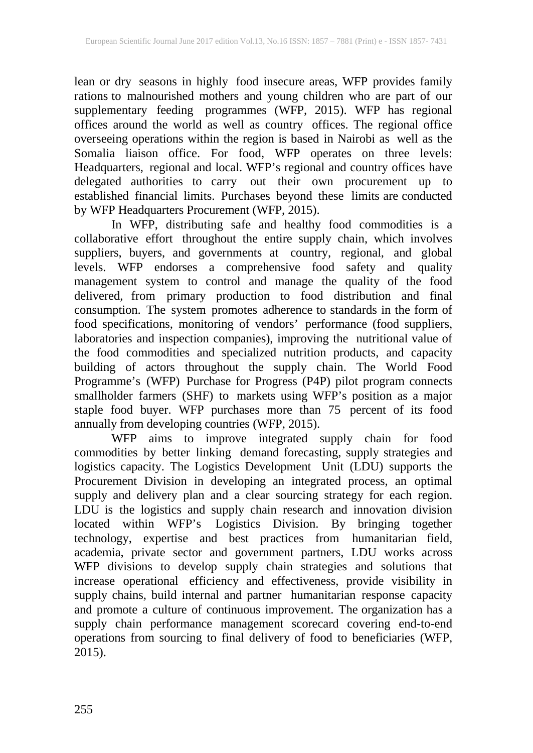lean or dry seasons in highly food insecure areas, WFP provides family rations to malnourished mothers and young children who are part of our supplementary feeding programmes (WFP, 2015). WFP has regional offices around the world as well as country offices. The regional office overseeing operations within the region is based in Nairobi as well as the Somalia liaison office. For food, WFP operates on three levels: Headquarters, regional and local. WFP's regional and country offices have delegated authorities to carry out their own procurement up to established financial limits. Purchases beyond these limits are conducted by WFP Headquarters Procurement (WFP, 2015).

In WFP, distributing safe and healthy food commodities is a collaborative effort throughout the entire supply chain, which involves suppliers, buyers, and governments at country, regional, and global levels. WFP endorses a comprehensive food safety and quality management system to control and manage the quality of the food delivered, from primary production to food distribution and final consumption. The system promotes adherence to standards in the form of food specifications, monitoring of vendors' performance (food suppliers, laboratories and inspection companies), improving the nutritional value of the food commodities and specialized nutrition products, and capacity building of actors throughout the supply chain. The World Food Programme's (WFP) Purchase for Progress (P4P) pilot program connects smallholder farmers (SHF) to markets using WFP's position as a major staple food buyer. WFP purchases more than 75 percent of its food annually from developing countries (WFP, 2015).

WFP aims to improve integrated supply chain for food commodities by better linking demand forecasting, supply strategies and logistics capacity. The Logistics Development Unit (LDU) supports the Procurement Division in developing an integrated process, an optimal supply and delivery plan and a clear sourcing strategy for each region. LDU is the logistics and supply chain research and innovation division located within WFP's Logistics Division. By bringing together technology, expertise and best practices from humanitarian field, academia, private sector and government partners, LDU works across WFP divisions to develop supply chain strategies and solutions that increase operational efficiency and effectiveness, provide visibility in supply chains, build internal and partner humanitarian response capacity and promote a culture of continuous improvement. The organization has a supply chain performance management scorecard covering end-to-end operations from sourcing to final delivery of food to beneficiaries (WFP,  $2015$ ).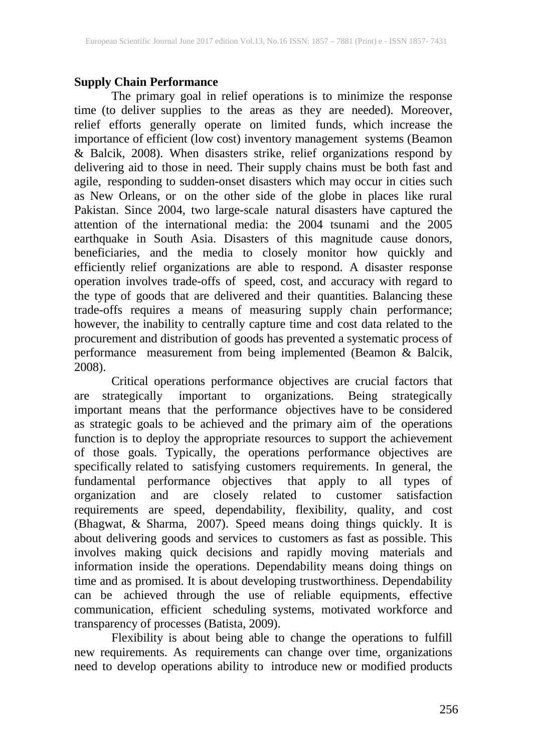### **Supply Chain Performance**

The primary goal in relief operations is to minimize the response time (to deliver supplies to the areas as they are needed). Moreover, relief efforts generally operate on limited funds, which increase the importance of efficient (low cost) inventory management systems (Beamon & Balcik, 2008). When disasters strike, relief organizations respond by delivering aid to those in need. Their supply chains must be both fast and agile, responding to sudden-onset disasters which may occur in cities such as New Orleans, or on the other side of the globe in places like rural Pakistan. Since 2004, two large-scale natural disasters have captured the attention of the international media: the 2004 tsunami and the 2005 earthquake in South Asia. Disasters of this magnitude cause donors, beneficiaries, and the media to closely monitor how quickly and efficiently relief organizations are able to respond. A disaster response operation involves trade-offs of speed, cost, and accuracy with regard to the type of goods that are delivered and their quantities. Balancing these trade-offs requires a means of measuring supply chain performance; however, the inability to centrally capture time and cost data related to the procurement and distribution of goods has prevented a systematic process of performance measurement from being implemented (Beamon & Balcik,  $2008$ ).

Critical operations performance objectives are crucial factors that are strategically important to organizations. Being strategically important means that the performance objectives have to be considered as strategic goals to be achieved and the primary aim of the operations function is to deploy the appropriate resources to support the achievement of those goals. Typically, the operations performance objectives are specifically related to satisfying customers requirements. In general, the fundamental performance objectives that apply to all types of organization and are closely related to customer satisfaction requirements are speed, dependability, flexibility, quality, and cost (Bhagwat, & Sharma, 2007). Speed means doing things quickly. It is about delivering goods and services to customers as fast as possible. This involves making quick decisions and rapidly moving materials and information inside the operations. Dependability means doing things on time and as promised. It is about developing trustworthiness. Dependability can be achieved through the use of reliable equipments, effective communication, efficient scheduling systems, motivated workforce and transparency of processes (Batista, 2009).

Flexibility is about being able to change the operations to fulfill new requirements. As requirements can change over time, organizations need to develop operations ability to introduce new or modified products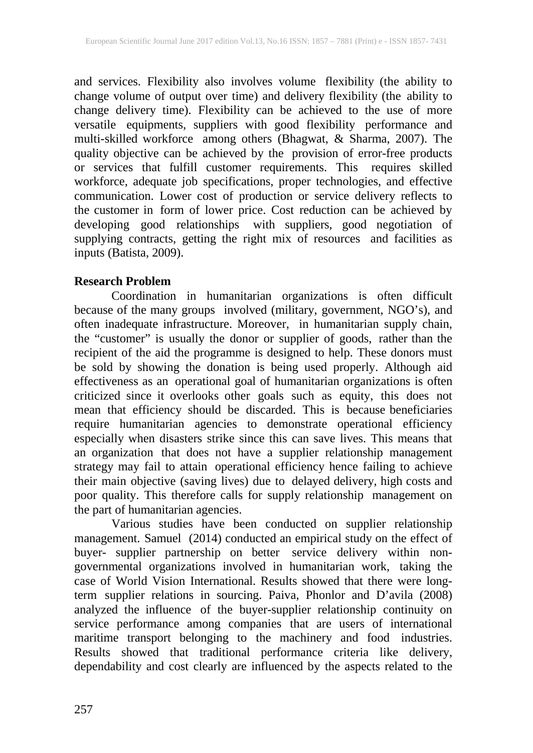and services. Flexibility also involves volume flexibility (the ability to change volume of output over time) and delivery flexibility (the ability to change delivery time). Flexibility can be achieved to the use of more versatile equipments, suppliers with good flexibility performance and multi-skilled workforce among others (Bhagwat, & Sharma, 2007). The quality objective can be achieved by the provision of error-free products or services that fulfill customer requirements. This requires skilled workforce, adequate job specifications, proper technologies, and effective communication. Lower cost of production or service delivery reflects to the customer in form of lower price. Cost reduction can be achieved by developing good relationships with suppliers, good negotiation of supplying contracts, getting the right mix of resources and facilities as inputs (Batista, 2009).

### **Research Problem**

Coordination in humanitarian organizations is often difficult because of the many groups involved (military, government, NGO's), and often inadequate infrastructure. Moreover, in humanitarian supply chain, the "customer" is usually the donor or supplier of goods, rather than the recipient of the aid the programme is designed to help. These donors must be sold by showing the donation is being used properly. Although aid effectiveness as an operational goal of humanitarian organizations is often criticized since it overlooks other goals such as equity, this does not mean that efficiency should be discarded. This is because beneficiaries require humanitarian agencies to demonstrate operational efficiency especially when disasters strike since this can save lives. This means that an organization that does not have a supplier relationship management strategy may fail to attain operational efficiency hence failing to achieve their main objective (saving lives) due to delayed delivery, high costs and poor quality. This therefore calls for supply relationship management on the part of humanitarian agencies.

Various studies have been conducted on supplier relationship management. Samuel (2014) conducted an empirical study on the effect of buyer- supplier partnership on better service delivery within nongovernmental organizations involved in humanitarian work, taking the case of World Vision International. Results showed that there were longterm supplier relations in sourcing. Paiva, Phonlor and D'avila (2008) analyzed the influence of the buyer-supplier relationship continuity on service performance among companies that are users of international maritime transport belonging to the machinery and food industries. Results showed that traditional performance criteria like delivery, dependability and cost clearly are influenced by the aspects related to the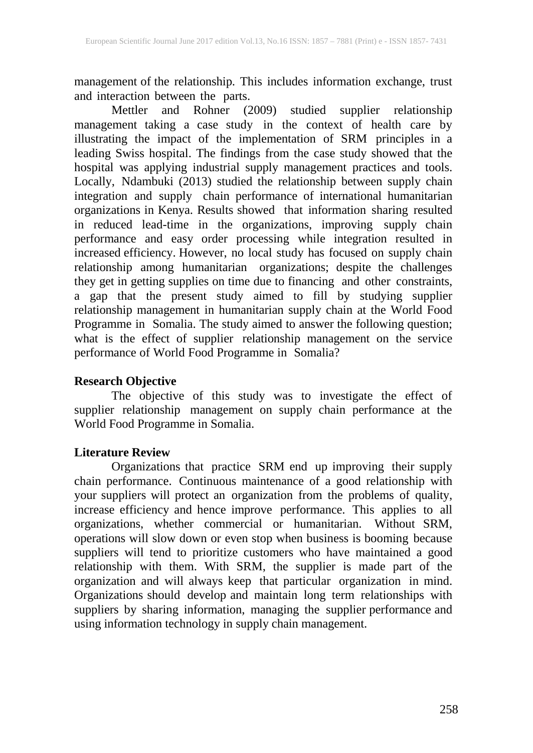management of the relationship. This includes information exchange, trust and interaction between the parts.

Mettler and Rohner (2009) studied supplier relationship management taking a case study in the context of health care by illustrating the impact of the implementation of SRM principles in a leading Swiss hospital. The findings from the case study showed that the hospital was applying industrial supply management practices and tools. Locally, Ndambuki (2013) studied the relationship between supply chain integration and supply chain performance of international humanitarian organizations in Kenya. Results showed that information sharing resulted in reduced lead-time in the organizations, improving supply chain performance and easy order processing while integration resulted in increased efficiency. However, no local study has focused on supply chain relationship among humanitarian organizations; despite the challenges they get in getting supplies on time due to financing and other constraints, a gap that the present study aimed to fill by studying supplier relationship management in humanitarian supply chain at the World Food Programme in Somalia. The study aimed to answer the following question; what is the effect of supplier relationship management on the service performance of World Food Programme in Somalia?

#### **Research Objective**

The objective of this study was to investigate the effect of supplier relationship management on supply chain performance at the World Food Programme in Somalia.

### **Literature Review**

Organizations that practice SRM end up improving their supply chain performance. Continuous maintenance of a good relationship with your suppliers will protect an organization from the problems of quality, increase efficiency and hence improve performance. This applies to all organizations, whether commercial or humanitarian. Without SRM, operations will slow down or even stop when business is booming because suppliers will tend to prioritize customers who have maintained a good relationship with them. With SRM, the supplier is made part of the organization and will always keep that particular organization in mind. Organizations should develop and maintain long term relationships with suppliers by sharing information, managing the supplier performance and using information technology in supply chain management.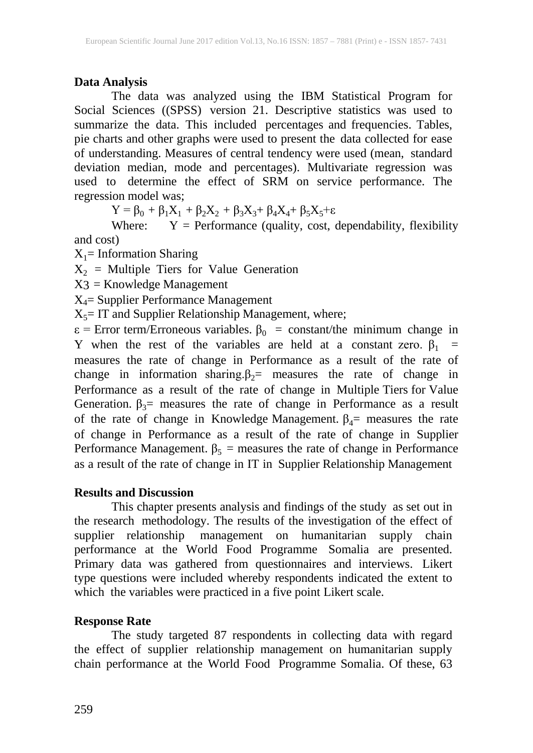### **Data Analysis**

The data was analyzed using the IBM Statistical Program for Social Sciences ((SPSS) version 21. Descriptive statistics was used to summarize the data. This included percentages and frequencies. Tables, pie charts and other graphs were used to present the data collected for ease of understanding. Measures of central tendency were used (mean, standard deviation median, mode and percentages). Multivariate regression was used to determine the effect of SRM on service performance. The regression model was;

 $Y = \beta_0 + \beta_1 X_1 + \beta_2 X_2 + \beta_3 X_3 + \beta_4 X_4 + \beta_5 X_5 + \varepsilon$ 

Where:  $Y =$  Performance (quality, cost, dependability, flexibility and cost)

 $X_1$ = Information Sharing

 $X_2$  = Multiple Tiers for Value Generation

 $X_3$  = Knowledge Management

X4= Supplier Performance Management

 $X_5$ = IT and Supplier Relationship Management, where;

 $ε = Error term/Erroneous variables.$   $β_0 = constant/the minimum change in$ Y when the rest of the variables are held at a constant zero.  $\beta_1$  = measures the rate of change in Performance as a result of the rate of change in information sharing. $\beta_2$ = measures the rate of change in Performance as a result of the rate of change in Multiple Tiers for Value Generation.  $\beta_3$ = measures the rate of change in Performance as a result of the rate of change in Knowledge Management.  $\beta_4$ = measures the rate of change in Performance as a result of the rate of change in Supplier Performance Management.  $\beta_5$  = measures the rate of change in Performance as a result of the rate of change in IT in Supplier Relationship Management

### **Results and Discussion**

This chapter presents analysis and findings of the study as set out in the research methodology. The results of the investigation of the effect of supplier relationship management on humanitarian supply chain performance at the World Food Programme Somalia are presented. Primary data was gathered from questionnaires and interviews. Likert type questions were included whereby respondents indicated the extent to which the variables were practiced in a five point Likert scale.

### **Response Rate**

The study targeted 87 respondents in collecting data with regard the effect of supplier relationship management on humanitarian supply chain performance at the World Food Programme Somalia. Of these, 63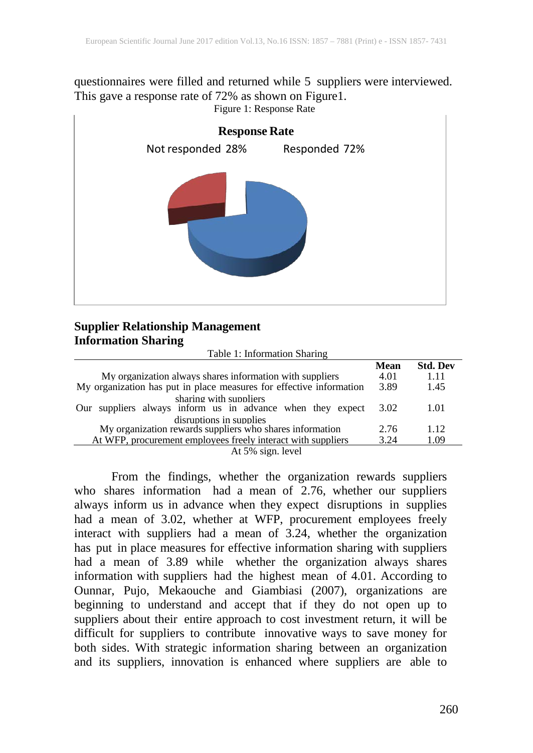### questionnaires were filled and returned while 5 suppliers were interviewed. This gave a response rate of 72% as shown on Figure1.



#### **Supplier Relationship Management Information Sharing**

Table 1: Information Sharing

|                                                                                      | Mean | <b>Std. Dev</b> |
|--------------------------------------------------------------------------------------|------|-----------------|
| My organization always shares information with suppliers                             | 4.01 | 1.11            |
| My organization has put in place measures for effective information                  | 3.89 | 1.45            |
| sharing with suppliers<br>Our suppliers always inform us in advance when they expect | 3.02 | 1.01            |
| disruptions in supplies                                                              |      |                 |
| My organization rewards suppliers who shares information                             | 2.76 | 1.12            |
| At WFP, procurement employees freely interact with suppliers                         | 3.24 | 1.09            |
| $\cdots$ $\cdots$ $\cdots$ $\cdots$ $\cdots$                                         |      |                 |

At 5% sign. level

From the findings, whether the organization rewards suppliers who shares information had a mean of 2.76, whether our suppliers always inform us in advance when they expect disruptions in supplies had a mean of 3.02, whether at WFP, procurement employees freely interact with suppliers had a mean of 3.24, whether the organization has put in place measures for effective information sharing with suppliers had a mean of 3.89 while whether the organization always shares information with suppliers had the highest mean of 4.01. According to Ounnar, Pujo, Mekaouche and Giambiasi (2007), organizations are beginning to understand and accept that if they do not open up to suppliers about their entire approach to cost investment return, it will be difficult for suppliers to contribute innovative ways to save money for both sides. With strategic information sharing between an organization and its suppliers, innovation is enhanced where suppliers are able to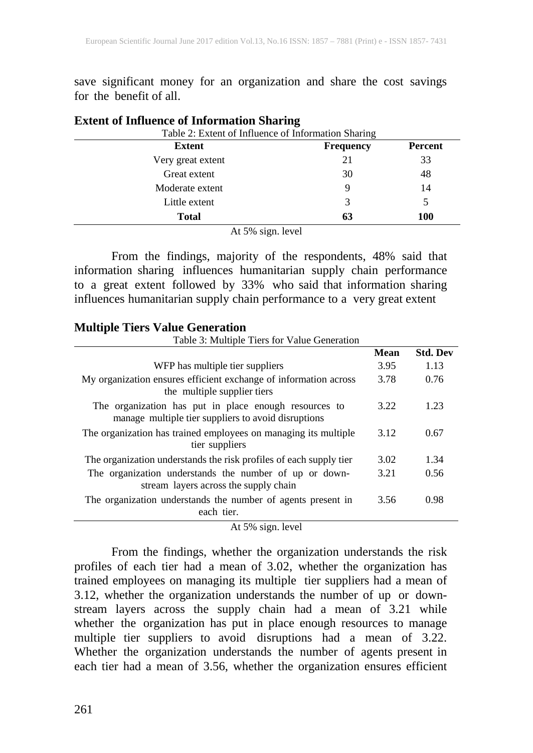save significant money for an organization and share the cost savings for the benefit of all.

| Table 2: Extent of Influence of Information Sharing |                  |         |
|-----------------------------------------------------|------------------|---------|
| <b>Extent</b>                                       | <b>Frequency</b> | Percent |
| Very great extent                                   | 21               | 33      |
| Great extent                                        | 30               | 48      |
| Moderate extent                                     | 9                | 14      |
| Little extent                                       | 3                | 5       |
| <b>Total</b>                                        | 63               | 100     |
| At 5% sign. level                                   |                  |         |

#### **Extent of Influence of Information Sharing**

From the findings, majority of the respondents, 48% said that information sharing influences humanitarian supply chain performance to a great extent followed by 33% who said that information sharing influences humanitarian supply chain performance to a very great extent

#### **Multiple Tiers Value Generation**

|                                                                                                              | Mean | <b>Std. Dev</b> |
|--------------------------------------------------------------------------------------------------------------|------|-----------------|
| WFP has multiple tier suppliers                                                                              | 3.95 | 1.13            |
| My organization ensures efficient exchange of information across<br>the multiple supplier tiers              | 3.78 | 0.76            |
| The organization has put in place enough resources to<br>manage multiple tier suppliers to avoid disruptions | 3.22 | 1.23            |
| The organization has trained employees on managing its multiple<br>tier suppliers                            | 3.12 | 0.67            |
| The organization understands the risk profiles of each supply tier                                           | 3.02 | 1.34            |
| The organization understands the number of up or down-<br>stream layers across the supply chain              | 3.21 | 0.56            |
| The organization understands the number of agents present in<br>each tier.                                   | 3.56 | 0.98            |

At 5% sign. level

From the findings, whether the organization understands the risk profiles of each tier had a mean of 3.02, whether the organization has trained employees on managing its multiple tier suppliers had a mean of 3.12, whether the organization understands the number of up or downstream layers across the supply chain had a mean of 3.21 while whether the organization has put in place enough resources to manage multiple tier suppliers to avoid disruptions had a mean of 3.22. Whether the organization understands the number of agents present in each tier had a mean of 3.56, whether the organization ensures efficient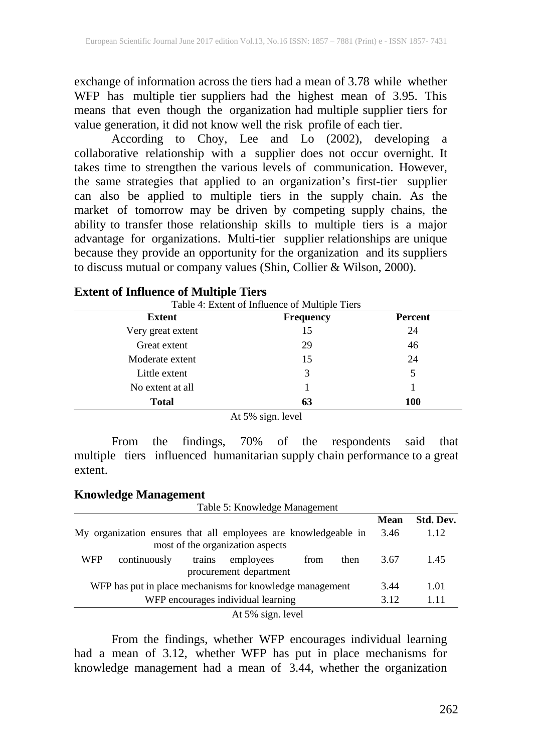exchange of information across the tiers had a mean of 3.78 while whether WFP has multiple tier suppliers had the highest mean of 3.95. This means that even though the organization had multiple supplier tiers for value generation, it did not know well the risk profile of each tier.

According to Choy, Lee and Lo (2002), developing a collaborative relationship with a supplier does not occur overnight. It takes time to strengthen the various levels of communication. However, the same strategies that applied to an organization's first-tier supplier can also be applied to multiple tiers in the supply chain. As the market of tomorrow may be driven by competing supply chains, the ability to transfer those relationship skills to multiple tiers is a major advantage for organizations. Multi-tier supplier relationships are unique because they provide an opportunity for the organization and its suppliers to discuss mutual or company values (Shin, Collier & Wilson, 2000).

| Table 4: Extent of Influence of Multiple Tiers |                   |         |  |  |  |
|------------------------------------------------|-------------------|---------|--|--|--|
| <b>Extent</b>                                  | <b>Frequency</b>  | Percent |  |  |  |
| Very great extent                              | 15                | 24      |  |  |  |
| Great extent                                   | 29                | 46      |  |  |  |
| Moderate extent                                | 15                | 24      |  |  |  |
| Little extent                                  | 3                 | 5       |  |  |  |
| No extent at all                               |                   |         |  |  |  |
| <b>Total</b>                                   | 63                | 100     |  |  |  |
|                                                | At 5% sign. level |         |  |  |  |

#### **Extent of Influence of Multiple Tiers**

From the findings, 70% of the respondents said that multiple tiers influenced humanitarian supply chain performance to a great extent.

### **Knowledge Management**

| Table 5: Knowledge Management                                                                       |             |           |
|-----------------------------------------------------------------------------------------------------|-------------|-----------|
|                                                                                                     | <b>Mean</b> | Std. Dev. |
| My organization ensures that all employees are knowledgeable in<br>most of the organization aspects | 3.46        | 1.12      |
| <b>WFP</b><br>continuously<br>employees<br>trains<br>from<br>then<br>procurement department         | 3.67        | 1.45      |
| WFP has put in place mechanisms for knowledge management                                            | 3.44        | 1.01      |
| WFP encourages individual learning                                                                  | 3.12        | 1.11      |
| At 5% sign. level                                                                                   |             |           |

From the findings, whether WFP encourages individual learning had a mean of 3.12, whether WFP has put in place mechanisms for knowledge management had a mean of 3.44, whether the organization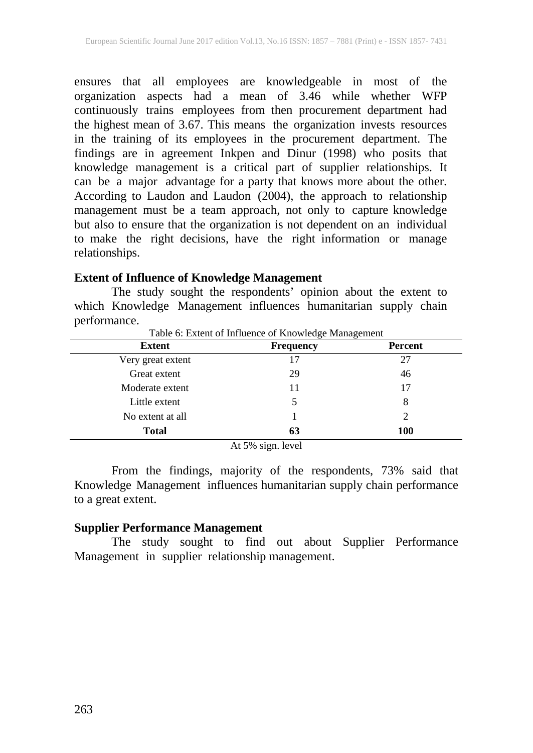ensures that all employees are knowledgeable in most of the organization aspects had a mean of 3.46 while whether WFP continuously trains employees from then procurement department had the highest mean of 3.67. This means the organization invests resources in the training of its employees in the procurement department. The findings are in agreement Inkpen and Dinur (1998) who posits that knowledge management is a critical part of supplier relationships. It can be a major advantage for a party that knows more about the other. According to Laudon and Laudon (2004), the approach to relationship management must be a team approach, not only to capture knowledge but also to ensure that the organization is not dependent on an individual to make the right decisions, have the right information or manage relationships.

### **Extent of Influence of Knowledge Management**

The study sought the respondents' opinion about the extent to which Knowledge Management influences humanitarian supply chain performance.

| <b>Extent</b>     | <b>Frequency</b>  | Percent    |
|-------------------|-------------------|------------|
| Very great extent |                   | 27         |
| Great extent      | 29                | 46         |
| Moderate extent   | 11                | 17         |
| Little extent     |                   | 8          |
| No extent at all  |                   | 2          |
| Total             | 63                | <b>100</b> |
|                   | At 5% sign. level |            |

Table 6: Extent of Influence of Knowledge Management

From the findings, majority of the respondents, 73% said that Knowledge Management influences humanitarian supply chain performance to a great extent.

### **Supplier Performance Management**

The study sought to find out about Supplier Performance Management in supplier relationship management.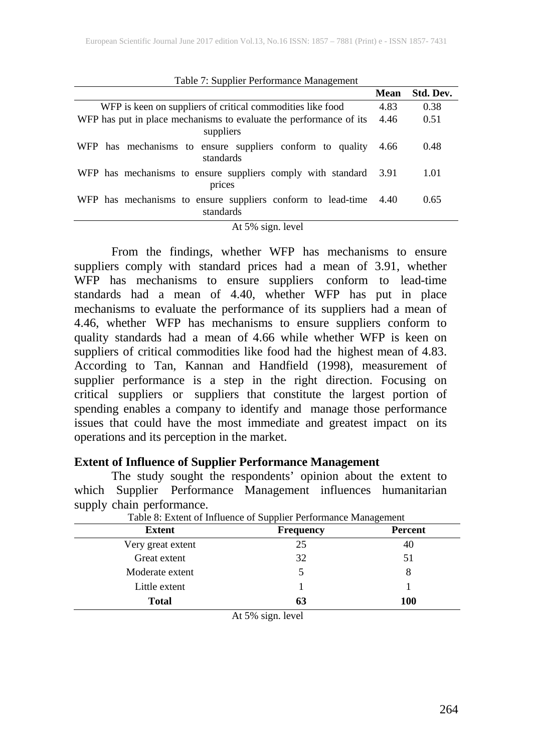| Table 7: Bupplier I cribinique management                                       |             |           |  |
|---------------------------------------------------------------------------------|-------------|-----------|--|
|                                                                                 | <b>Mean</b> | Std. Dev. |  |
| WFP is keen on suppliers of critical commodities like food                      | 4.83        | 0.38      |  |
| WFP has put in place mechanisms to evaluate the performance of its<br>suppliers |             | 0.51      |  |
| WFP has mechanisms to ensure suppliers conform to quality<br>standards          | 4.66        | 0.48      |  |
| WFP has mechanisms to ensure suppliers comply with standard 3.91<br>prices      |             | 1.01      |  |
| WFP has mechanisms to ensure suppliers conform to lead-time 4.40<br>standards   |             | 0.65      |  |
| $A + F = 1$                                                                     |             |           |  |

Table 7: Supplier Performance Management

At 5% sign. level

From the findings, whether WFP has mechanisms to ensure suppliers comply with standard prices had a mean of 3.91, whether WFP has mechanisms to ensure suppliers conform to lead-time standards had a mean of 4.40, whether WFP has put in place mechanisms to evaluate the performance of its suppliers had a mean of 4.46, whether WFP has mechanisms to ensure suppliers conform to quality standards had a mean of 4.66 while whether WFP is keen on suppliers of critical commodities like food had the highest mean of 4.83. According to Tan, Kannan and Handfield (1998), measurement of supplier performance is a step in the right direction. Focusing on critical suppliers or suppliers that constitute the largest portion of spending enables a company to identify and manage those performance issues that could have the most immediate and greatest impact on its operations and its perception in the market.

#### **Extent of Influence of Supplier Performance Management**

The study sought the respondents' opinion about the extent to which Supplier Performance Management influences humanitarian supply chain performance.

| <b>Extent</b>     | <b>Frequency</b> | Percent    |
|-------------------|------------------|------------|
| Very great extent | 25               | 40         |
| Great extent      | 32               | 51         |
| Moderate extent   |                  | X          |
| Little extent     |                  |            |
| <b>Total</b>      | 63               | <b>100</b> |

Table 8: Extent of Influence of Supplier Performance Management

At 5% sign. level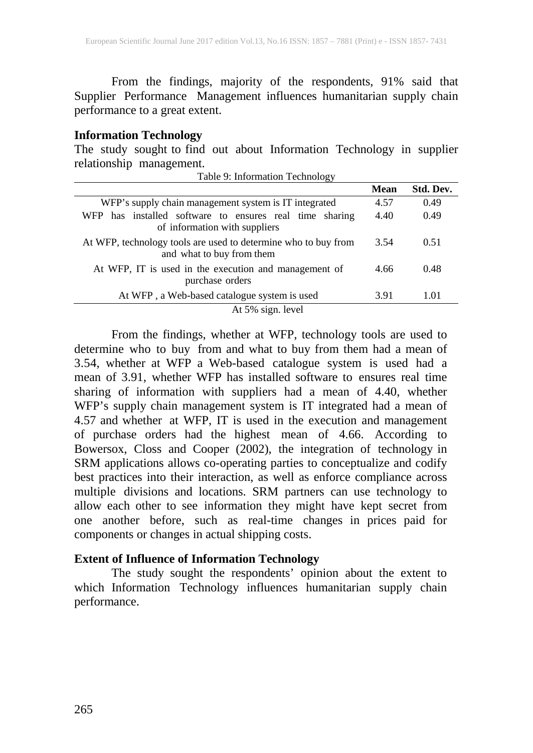From the findings, majority of the respondents, 91% said that Supplier Performance Management influences humanitarian supply chain performance to a great extent.

### **Information Technology**

The study sought to find out about Information Technology in supplier relationship management. Table 9: Information Technology

|                                                                                             | <b>Mean</b> | Std. Dev. |
|---------------------------------------------------------------------------------------------|-------------|-----------|
| WFP's supply chain management system is IT integrated                                       | 4.57        | 0.49      |
| WFP has installed software to ensures real time sharing<br>of information with suppliers    | 4.40        | 0.49      |
| At WFP, technology tools are used to determine who to buy from<br>and what to buy from them | 3.54        | 0.51      |
| At WFP, IT is used in the execution and management of<br>purchase orders                    | 4.66        | 0.48      |
| At WFP, a Web-based catalogue system is used                                                | 3.91        | 1.01      |
| At 5% sign. level                                                                           |             |           |

From the findings, whether at WFP, technology tools are used to determine who to buy from and what to buy from them had a mean of 3.54, whether at WFP a Web-based catalogue system is used had a mean of 3.91, whether WFP has installed software to ensures real time sharing of information with suppliers had a mean of 4.40, whether WFP's supply chain management system is IT integrated had a mean of 4.57 and whether at WFP, IT is used in the execution and management of purchase orders had the highest mean of 4.66. According to Bowersox, Closs and Cooper (2002), the integration of technology in SRM applications allows co-operating parties to conceptualize and codify best practices into their interaction, as well as enforce compliance across multiple divisions and locations. SRM partners can use technology to allow each other to see information they might have kept secret from one another before, such as real-time changes in prices paid for components or changes in actual shipping costs.

#### **Extent of Influence of Information Technology**

The study sought the respondents' opinion about the extent to which Information Technology influences humanitarian supply chain performance.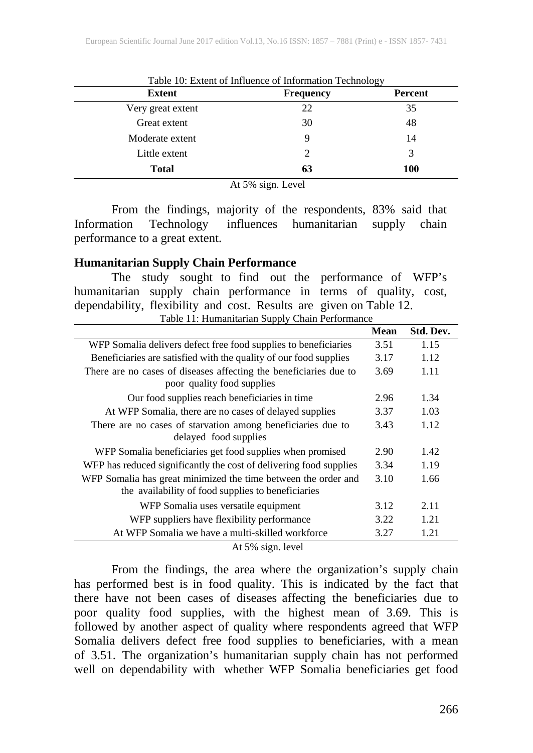| <b>Frequency</b>            | Percent |
|-----------------------------|---------|
| 22                          | 35      |
| 30                          | 48      |
|                             | 14      |
| $\mathcal{D}_{\mathcal{L}}$ | 3       |
| 63                          | 100     |
|                             |         |

Table 10: Extent of Influence of Information Technology

At 5% sign. Level

From the findings, majority of the respondents, 83% said that<br>ation Technology influences humanitarian supply chain Information Technology influences humanitarian supply chain performance to a great extent.

#### **Humanitarian Supply Chain Performance**

The study sought to find out the performance of WFP's humanitarian supply chain performance in terms of quality, cost, dependability, flexibility and cost. Results are given on Table 12.

|  |  |  |  |  |  |  | Table 11: Humanitarian Supply Chain Performance |
|--|--|--|--|--|--|--|-------------------------------------------------|
|--|--|--|--|--|--|--|-------------------------------------------------|

|                                                                                                                      | <b>Mean</b> | Std. Dev. |
|----------------------------------------------------------------------------------------------------------------------|-------------|-----------|
| WFP Somalia delivers defect free food supplies to beneficiaries                                                      | 3.51        | 1.15      |
| Beneficiaries are satisfied with the quality of our food supplies                                                    | 3.17        | 1.12      |
| There are no cases of diseases affecting the beneficiaries due to<br>poor quality food supplies                      | 3.69        | 1.11      |
| Our food supplies reach beneficiaries in time.                                                                       | 2.96        | 1.34      |
| At WFP Somalia, there are no cases of delayed supplies                                                               | 3.37        | 1.03      |
| There are no cases of starvation among beneficiaries due to                                                          | 3.43        | 1.12      |
| delayed food supplies                                                                                                |             |           |
| WFP Somalia beneficiaries get food supplies when promised                                                            | 2.90        | 1.42      |
| WFP has reduced significantly the cost of delivering food supplies                                                   | 3.34        | 1.19      |
| WFP Somalia has great minimized the time between the order and<br>the availability of food supplies to beneficiaries | 3.10        | 1.66      |
| WFP Somalia uses versatile equipment                                                                                 | 3.12        | 2.11      |
| WFP suppliers have flexibility performance                                                                           | 3.22        | 1.21      |
| At WFP Somalia we have a multi-skilled workforce                                                                     | 3.27        | 1.21      |

At 5% sign. level

From the findings, the area where the organization's supply chain has performed best is in food quality. This is indicated by the fact that there have not been cases of diseases affecting the beneficiaries due to poor quality food supplies, with the highest mean of 3.69. This is followed by another aspect of quality where respondents agreed that WFP Somalia delivers defect free food supplies to beneficiaries, with a mean of 3.51. The organization's humanitarian supply chain has not performed well on dependability with whether WFP Somalia beneficiaries get food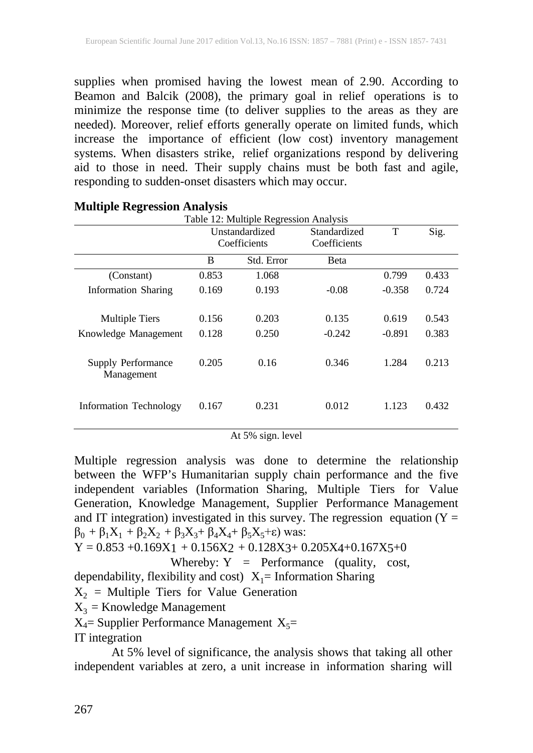supplies when promised having the lowest mean of 2.90. According to Beamon and Balcik (2008), the primary goal in relief operations is to minimize the response time (to deliver supplies to the areas as they are needed). Moreover, relief efforts generally operate on limited funds, which increase the importance of efficient (low cost) inventory management systems. When disasters strike, relief organizations respond by delivering aid to those in need. Their supply chains must be both fast and agile, responding to sudden-onset disasters which may occur.

|                                         | Table 12: Multiple Regression Analysis<br>Unstandardized<br>Coefficients |            | Standardized<br>Coefficients | T        | Sig.  |
|-----------------------------------------|--------------------------------------------------------------------------|------------|------------------------------|----------|-------|
|                                         | B                                                                        | Std. Error | <b>B</b> eta                 |          |       |
| (Constant)                              | 0.853                                                                    | 1.068      |                              | 0.799    | 0.433 |
| <b>Information Sharing</b>              | 0.169                                                                    | 0.193      | $-0.08$                      | $-0.358$ | 0.724 |
|                                         |                                                                          |            |                              |          |       |
| <b>Multiple Tiers</b>                   | 0.156                                                                    | 0.203      | 0.135                        | 0.619    | 0.543 |
| Knowledge Management                    | 0.128                                                                    | 0.250      | $-0.242$                     | $-0.891$ | 0.383 |
| <b>Supply Performance</b><br>Management | 0.205                                                                    | 0.16       | 0.346                        | 1.284    | 0.213 |
| Information Technology                  | 0.167                                                                    | 0.231      | 0.012                        | 1.123    | 0.432 |

#### **Multiple Regression Analysis**

At 5% sign. level

Multiple regression analysis was done to determine the relationship between the WFP's Humanitarian supply chain performance and the five independent variables (Information Sharing, Multiple Tiers for Value Generation, Knowledge Management, Supplier Performance Management and IT integration) investigated in this survey. The regression equation  $(Y =$  $\beta_0 + \beta_1 X_1 + \beta_2 X_2 + \beta_3 X_3 + \beta_4 X_4 + \beta_5 X_5 + \epsilon$ ) was:

 $Y = 0.853 + 0.169X1 + 0.156X2 + 0.128X3 + 0.205X4 + 0.167X5 + 0$ 

Whereby:  $Y =$  Performance (quality, cost,

dependability, flexibility and cost)  $X_1$ = Information Sharing

 $X_2$  = Multiple Tiers for Value Generation

 $X_3$  = Knowledge Management

 $X_4$ = Supplier Performance Management  $X_5$ =

IT integration

At 5% level of significance, the analysis shows that taking all other independent variables at zero, a unit increase in information sharing will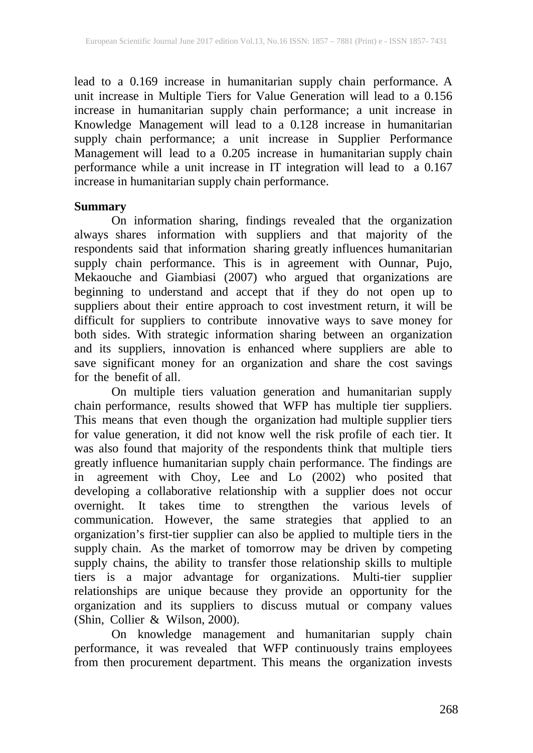lead to a 0.169 increase in humanitarian supply chain performance. A unit increase in Multiple Tiers for Value Generation will lead to a 0.156 increase in humanitarian supply chain performance; a unit increase in Knowledge Management will lead to a 0.128 increase in humanitarian supply chain performance; a unit increase in Supplier Performance Management will lead to a 0.205 increase in humanitarian supply chain performance while a unit increase in IT integration will lead to a 0.167 increase in humanitarian supply chain performance.

#### **Summary**

On information sharing, findings revealed that the organization always shares information with suppliers and that majority of the respondents said that information sharing greatly influences humanitarian supply chain performance. This is in agreement with Ounnar, Pujo, Mekaouche and Giambiasi (2007) who argued that organizations are beginning to understand and accept that if they do not open up to suppliers about their entire approach to cost investment return, it will be difficult for suppliers to contribute innovative ways to save money for both sides. With strategic information sharing between an organization and its suppliers, innovation is enhanced where suppliers are able to save significant money for an organization and share the cost savings for the benefit of all.

On multiple tiers valuation generation and humanitarian supply chain performance, results showed that WFP has multiple tier suppliers. This means that even though the organization had multiple supplier tiers for value generation, it did not know well the risk profile of each tier. It was also found that majority of the respondents think that multiple tiers greatly influence humanitarian supply chain performance. The findings are in agreement with Choy, Lee and Lo (2002) who posited that developing a collaborative relationship with a supplier does not occur overnight. It takes time to strengthen the various levels of communication. However, the same strategies that applied to an organization's first-tier supplier can also be applied to multiple tiers in the supply chain. As the market of tomorrow may be driven by competing supply chains, the ability to transfer those relationship skills to multiple tiers is a major advantage for organizations. Multi-tier supplier relationships are unique because they provide an opportunity for the organization and its suppliers to discuss mutual or company values (Shin, Collier & Wilson, 2000).

On knowledge management and humanitarian supply chain performance, it was revealed that WFP continuously trains employees from then procurement department. This means the organization invests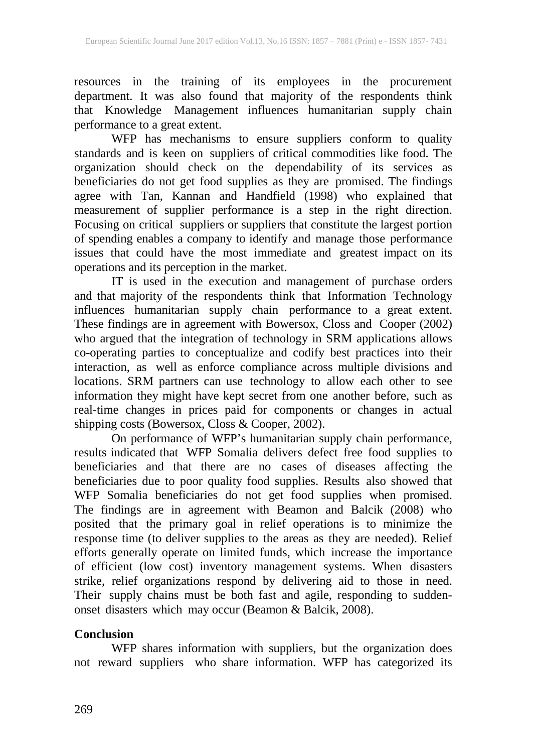resources in the training of its employees in the procurement department. It was also found that majority of the respondents think that Knowledge Management influences humanitarian supply chain performance to a great extent.

WFP has mechanisms to ensure suppliers conform to quality standards and is keen on suppliers of critical commodities like food. The organization should check on the dependability of its services as beneficiaries do not get food supplies as they are promised. The findings agree with Tan, Kannan and Handfield (1998) who explained that measurement of supplier performance is a step in the right direction. Focusing on critical suppliers or suppliers that constitute the largest portion of spending enables a company to identify and manage those performance issues that could have the most immediate and greatest impact on its operations and its perception in the market.

IT is used in the execution and management of purchase orders and that majority of the respondents think that Information Technology influences humanitarian supply chain performance to a great extent. These findings are in agreement with Bowersox, Closs and Cooper (2002) who argued that the integration of technology in SRM applications allows co-operating parties to conceptualize and codify best practices into their interaction, as well as enforce compliance across multiple divisions and locations. SRM partners can use technology to allow each other to see information they might have kept secret from one another before, such as real-time changes in prices paid for components or changes in actual shipping costs (Bowersox, Closs & Cooper, 2002).

On performance of WFP's humanitarian supply chain performance, results indicated that WFP Somalia delivers defect free food supplies to beneficiaries and that there are no cases of diseases affecting the beneficiaries due to poor quality food supplies. Results also showed that WFP Somalia beneficiaries do not get food supplies when promised. The findings are in agreement with Beamon and Balcik (2008) who posited that the primary goal in relief operations is to minimize the response time (to deliver supplies to the areas as they are needed). Relief efforts generally operate on limited funds, which increase the importance of efficient (low cost) inventory management systems. When disasters strike, relief organizations respond by delivering aid to those in need. Their supply chains must be both fast and agile, responding to suddenonset disasters which may occur (Beamon & Balcik, 2008).

### **Conclusion**

WFP shares information with suppliers, but the organization does not reward suppliers who share information. WFP has categorized its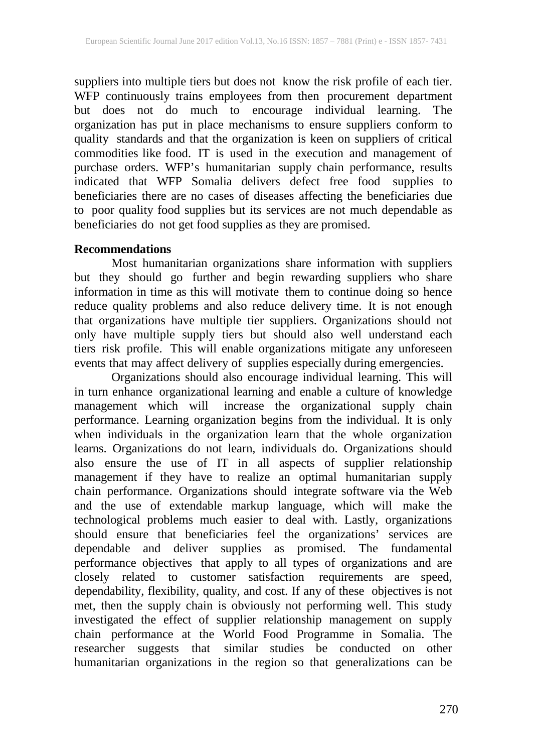suppliers into multiple tiers but does not know the risk profile of each tier. WFP continuously trains employees from then procurement department but does not do much to encourage individual learning. The organization has put in place mechanisms to ensure suppliers conform to quality standards and that the organization is keen on suppliers of critical commodities like food. IT is used in the execution and management of purchase orders. WFP's humanitarian supply chain performance, results indicated that WFP Somalia delivers defect free food supplies to beneficiaries there are no cases of diseases affecting the beneficiaries due to poor quality food supplies but its services are not much dependable as beneficiaries do not get food supplies as they are promised.

### **Recommendations**

Most humanitarian organizations share information with suppliers but they should go further and begin rewarding suppliers who share information in time as this will motivate them to continue doing so hence reduce quality problems and also reduce delivery time. It is not enough that organizations have multiple tier suppliers. Organizations should not only have multiple supply tiers but should also well understand each tiers risk profile. This will enable organizations mitigate any unforeseen events that may affect delivery of supplies especially during emergencies.

Organizations should also encourage individual learning. This will in turn enhance organizational learning and enable a culture of knowledge management which will increase the organizational supply chain performance. Learning organization begins from the individual. It is only when individuals in the organization learn that the whole organization learns. Organizations do not learn, individuals do. Organizations should also ensure the use of IT in all aspects of supplier relationship management if they have to realize an optimal humanitarian supply chain performance. Organizations should integrate software via the Web and the use of extendable markup language, which will make the technological problems much easier to deal with. Lastly, organizations should ensure that beneficiaries feel the organizations' services are dependable and deliver supplies as promised. The fundamental performance objectives that apply to all types of organizations and are closely related to customer satisfaction requirements are speed, dependability, flexibility, quality, and cost. If any of these objectives is not met, then the supply chain is obviously not performing well. This study investigated the effect of supplier relationship management on supply chain performance at the World Food Programme in Somalia. The researcher suggests that similar studies be conducted on other humanitarian organizations in the region so that generalizations can be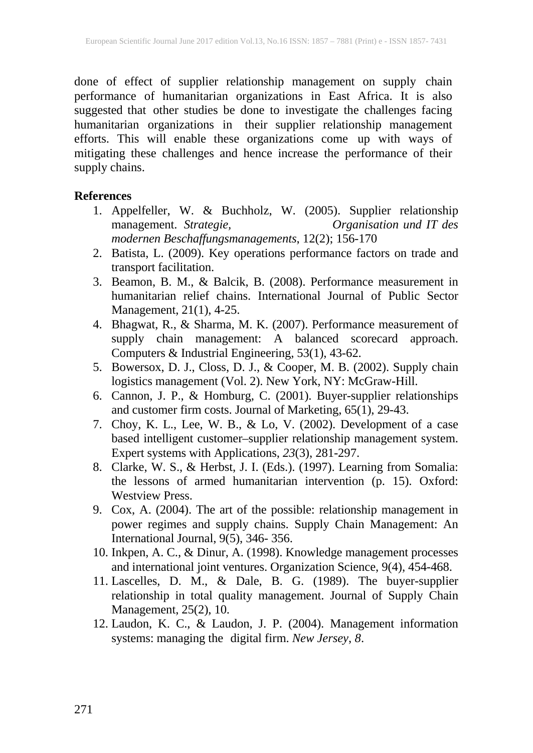done of effect of supplier relationship management on supply chain performance of humanitarian organizations in East Africa. It is also suggested that other studies be done to investigate the challenges facing humanitarian organizations in their supplier relationship management efforts. This will enable these organizations come up with ways of mitigating these challenges and hence increase the performance of their supply chains.

### **References**

- 1. Appelfeller, W. & Buchholz, W. (2005). Supplier relationship management. *Strategie, Organisation und IT des modernen Beschaffungsmanagements*, 12(2); 156-170
- 2. Batista, L. (2009). Key operations performance factors on trade and transport facilitation.
- 3. Beamon, B. M., & Balcik, B. (2008). Performance measurement in humanitarian relief chains. International Journal of Public Sector Management, 21(1), 4-25.
- 4. Bhagwat, R., & Sharma, M. K. (2007). Performance measurement of supply chain management: A balanced scorecard approach. Computers & Industrial Engineering, 53(1), 43-62.
- 5. Bowersox, D. J., Closs, D. J., & Cooper, M. B. (2002). Supply chain logistics management (Vol. 2). New York, NY: McGraw-Hill.
- 6. Cannon, J. P., & Homburg, C. (2001). Buyer-supplier relationships and customer firm costs. Journal of Marketing, 65(1), 29-43.
- 7. Choy, K. L., Lee, W. B., & Lo, V. (2002). Development of a case based intelligent customer–supplier relationship management system. Expert systems with Applications, *23*(3), 281-297.
- 8. Clarke, W. S., & Herbst, J. I. (Eds.). (1997). Learning from Somalia: the lessons of armed humanitarian intervention (p. 15). Oxford: Westview Press.
- 9. Cox, A. (2004). The art of the possible: relationship management in power regimes and supply chains. Supply Chain Management: An International Journal, 9(5), 346- 356.
- 10. Inkpen, A. C., & Dinur, A. (1998). Knowledge management processes and international joint ventures. Organization Science, 9(4), 454-468.
- 11. Lascelles, D. M., & Dale, B. G. (1989). The buyer-supplier relationship in total quality management. Journal of Supply Chain Management, 25(2), 10.
- 12. Laudon, K. C., & Laudon, J. P. (2004). Management information systems: managing the digital firm. *New Jersey*, *8*.